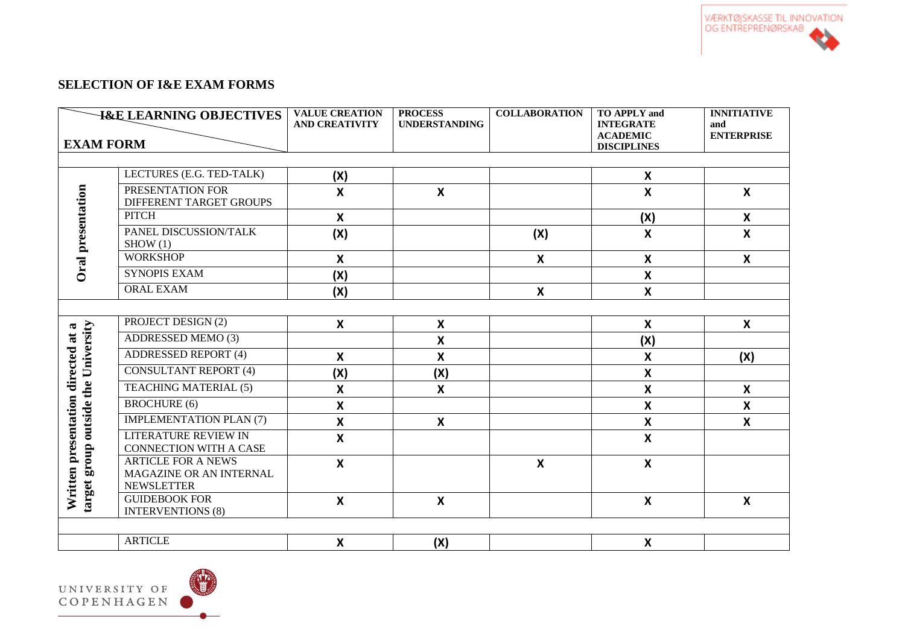

# **SELECTION OF I&E EXAM FORMS**

| <b>I&amp;E LEARNING OBJECTIVES</b>                                        |                                                                       | <b>VALUE CREATION</b><br><b>AND CREATIVITY</b> | <b>PROCESS</b><br><b>UNDERSTANDING</b> | <b>COLLABORATION</b> | <b>TO APPLY and</b><br><b>INTEGRATE</b><br><b>ACADEMIC</b> | <b>INNITIATIVE</b><br>and<br><b>ENTERPRISE</b> |  |  |
|---------------------------------------------------------------------------|-----------------------------------------------------------------------|------------------------------------------------|----------------------------------------|----------------------|------------------------------------------------------------|------------------------------------------------|--|--|
| <b>EXAM FORM</b>                                                          |                                                                       |                                                |                                        |                      | <b>DISCIPLINES</b>                                         |                                                |  |  |
|                                                                           |                                                                       |                                                |                                        |                      |                                                            |                                                |  |  |
| Oral presentation                                                         | LECTURES (E.G. TED-TALK)                                              | (X)                                            |                                        |                      | $\boldsymbol{\mathsf{x}}$                                  |                                                |  |  |
|                                                                           | PRESENTATION FOR<br>DIFFERENT TARGET GROUPS                           | $\boldsymbol{\mathsf{X}}$                      | $\boldsymbol{\mathsf{X}}$              |                      | $\mathbf{x}$                                               | X                                              |  |  |
|                                                                           | <b>PITCH</b>                                                          | $\boldsymbol{\mathsf{X}}$                      |                                        |                      | (X)                                                        | $\boldsymbol{X}$                               |  |  |
|                                                                           | PANEL DISCUSSION/TALK<br>SHOW(1)                                      | (X)                                            |                                        | (X)                  | $\boldsymbol{\mathsf{X}}$                                  | $\boldsymbol{\mathsf{x}}$                      |  |  |
|                                                                           | <b>WORKSHOP</b>                                                       | $\boldsymbol{\mathsf{X}}$                      |                                        | $\mathsf{x}$         | $\boldsymbol{\mathsf{x}}$                                  | $\boldsymbol{x}$                               |  |  |
|                                                                           | <b>SYNOPIS EXAM</b>                                                   | (X)                                            |                                        |                      | $\boldsymbol{\mathsf{X}}$                                  |                                                |  |  |
|                                                                           | <b>ORAL EXAM</b>                                                      | (X)                                            |                                        | $\boldsymbol{X}$     | X                                                          |                                                |  |  |
|                                                                           |                                                                       |                                                |                                        |                      |                                                            |                                                |  |  |
|                                                                           | PROJECT DESIGN (2)                                                    | $\mathbf{x}$                                   | $\boldsymbol{X}$                       |                      | X                                                          | $\mathsf{X}$                                   |  |  |
|                                                                           | <b>ADDRESSED MEMO (3)</b>                                             |                                                | $\boldsymbol{\mathsf{x}}$              |                      | (X)                                                        |                                                |  |  |
|                                                                           | <b>ADDRESSED REPORT (4)</b>                                           | $\boldsymbol{\mathsf{X}}$                      | $\boldsymbol{\mathsf{X}}$              |                      | $\boldsymbol{\mathsf{x}}$                                  | (X)                                            |  |  |
|                                                                           | <b>CONSULTANT REPORT (4)</b>                                          | (X)                                            | (X)                                    |                      | X                                                          |                                                |  |  |
|                                                                           | <b>TEACHING MATERIAL (5)</b>                                          | $\boldsymbol{\mathsf{X}}$                      | $\mathsf{X}$                           |                      | X                                                          | X                                              |  |  |
|                                                                           | <b>BROCHURE</b> (6)                                                   | $\boldsymbol{\mathsf{X}}$                      |                                        |                      | $\boldsymbol{\mathsf{x}}$                                  | $\boldsymbol{\mathsf{x}}$                      |  |  |
| target group outside the University<br>Written presentation directed at a | <b>IMPLEMENTATION PLAN (7)</b>                                        | $\boldsymbol{\mathsf{X}}$                      | $\boldsymbol{\mathsf{X}}$              |                      | $\boldsymbol{\mathsf{X}}$                                  | $\boldsymbol{\mathsf{x}}$                      |  |  |
|                                                                           | <b>LITERATURE REVIEW IN</b><br><b>CONNECTION WITH A CASE</b>          | $\boldsymbol{\mathsf{X}}$                      |                                        |                      | $\boldsymbol{\mathsf{X}}$                                  |                                                |  |  |
|                                                                           | <b>ARTICLE FOR A NEWS</b><br>MAGAZINE OR AN INTERNAL                  | $\boldsymbol{\mathsf{X}}$                      |                                        | X                    | X                                                          |                                                |  |  |
|                                                                           | <b>NEWSLETTER</b><br><b>GUIDEBOOK FOR</b><br><b>INTERVENTIONS (8)</b> | $\boldsymbol{\mathsf{X}}$                      | $\boldsymbol{X}$                       |                      | $\boldsymbol{\mathsf{X}}$                                  | $\boldsymbol{\mathsf{x}}$                      |  |  |
|                                                                           | <b>ARTICLE</b>                                                        | $\boldsymbol{\mathsf{X}}$                      | (X)                                    |                      | $\pmb{\mathsf{X}}$                                         |                                                |  |  |

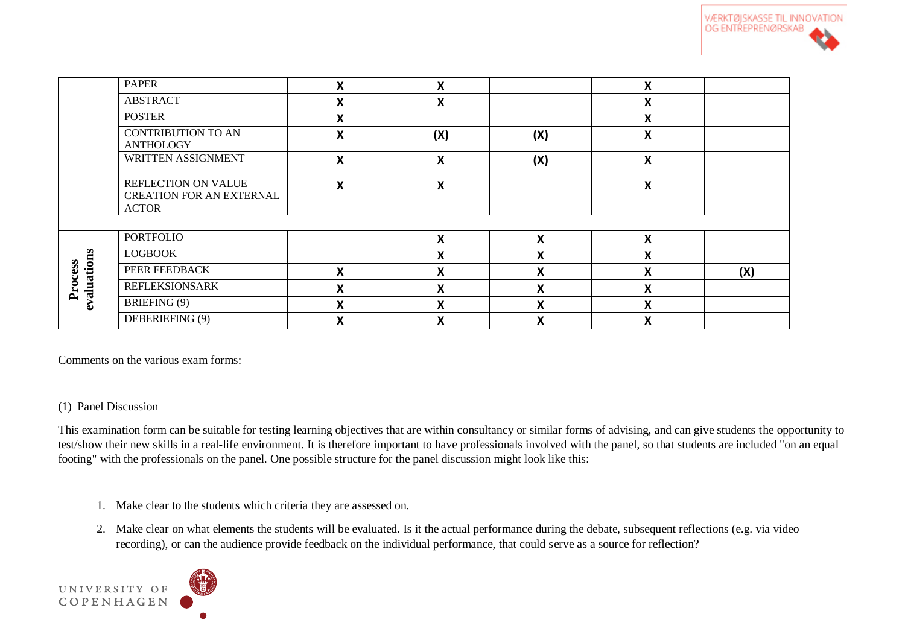

|                             | <b>PAPER</b>                                                           | X                         | X   |                   | Χ                  |     |
|-----------------------------|------------------------------------------------------------------------|---------------------------|-----|-------------------|--------------------|-----|
|                             | <b>ABSTRACT</b>                                                        | X                         | X   |                   | X                  |     |
|                             | <b>POSTER</b>                                                          | X                         |     |                   | X                  |     |
|                             | <b>CONTRIBUTION TO AN</b><br><b>ANTHOLOGY</b>                          | X                         | (X) | (X)               | $\pmb{\mathsf{X}}$ |     |
|                             | WRITTEN ASSIGNMENT                                                     | X                         | X   | (X)               | X                  |     |
|                             | REFLECTION ON VALUE<br><b>CREATION FOR AN EXTERNAL</b><br><b>ACTOR</b> | $\boldsymbol{\mathsf{X}}$ | X   |                   | X                  |     |
|                             |                                                                        |                           |     |                   |                    |     |
| valuations<br>Process<br>مە | <b>PORTFOLIO</b>                                                       |                           | X   | X                 | X                  |     |
|                             | <b>LOGBOOK</b>                                                         |                           | X   | v<br>$\lambda$    | X                  |     |
|                             | PEER FEEDBACK                                                          | X                         | X   | X                 | X                  | (X) |
|                             | <b>REFLEKSIONSARK</b>                                                  | $\boldsymbol{\mathsf{X}}$ | X   | v<br>$\mathbf{A}$ | X                  |     |
|                             | BRIEFING (9)                                                           | $\boldsymbol{X}$          | X   | X                 | Χ                  |     |
|                             | DEBERIEFING (9)                                                        | X                         | v   | v<br>Λ            | X                  |     |

Comments on the various exam forms:

#### (1) Panel Discussion

This examination form can be suitable for testing learning objectives that are within consultancy or similar forms of advising, and can give students the opportunity to test/show their new skills in a real-life environment. It is therefore important to have professionals involved with the panel, so that students are included "on an equal footing" with the professionals on the panel. One possible structure for the panel discussion might look like this:

- 1. Make clear to the students which criteria they are assessed on.
- 2. Make clear on what elements the students will be evaluated. Is it the actual performance during the debate, subsequent reflections (e.g. via video recording), or can the audience provide feedback on the individual performance, that could serve as a source for reflection?

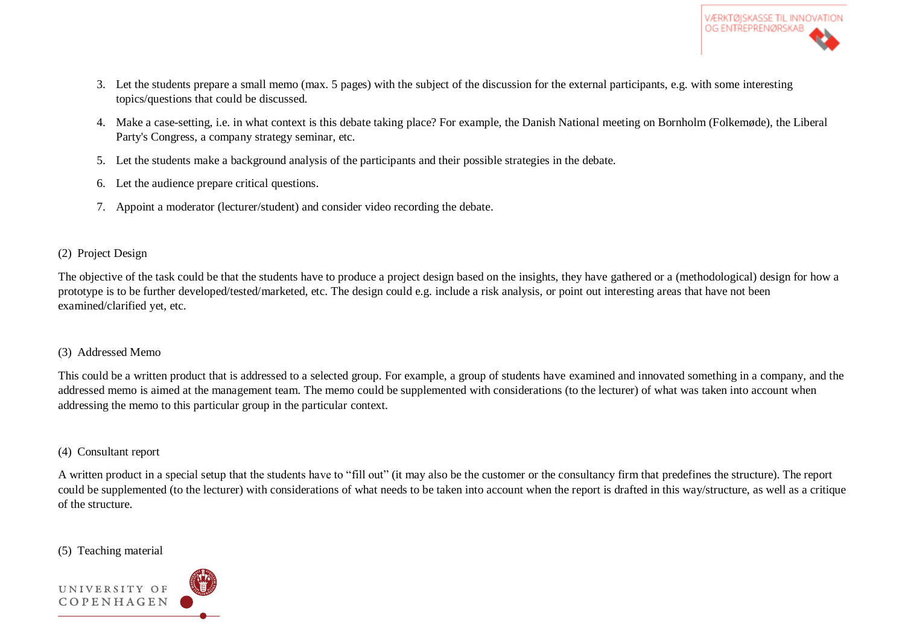

- 3. Let the students prepare a small memo (max. 5 pages) with the subject of the discussion for the external participants, e.g. with some interesting topics/questions that could be discussed.
- 4. Make a case-setting, i.e. in what context is this debate taking place? For example, the Danish National meeting on Bornholm (Folkemøde), the Liberal Party's Congress, a company strategy seminar, etc.
- 5. Let the students make a background analysis of the participants and their possible strategies in the debate.
- 6. Let the audience prepare critical questions.
- 7. Appoint a moderator (lecturer/student) and consider video recording the debate.

### (2) Project Design

The objective of the task could be that the students have to produce a project design based on the insights, they have gathered or a (methodological) design for how a prototype is to be further developed/tested/marketed, etc. The design could e.g. include a risk analysis, or point out interesting areas that have not been examined/clarified yet, etc.

## (3) Addressed Memo

This could be a written product that is addressed to a selected group. For example, a group of students have examined and innovated something in a company, and the addressed memo is aimed at the management team. The memo could be supplemented with considerations (to the lecturer) of what was taken into account when addressing the memo to this particular group in the particular context.

## (4) Consultant report

A written product in a special setup that the students have to "fill out" (it may also be the customer or the consultancy firm that predefines the structure). The report could be supplemented (to the lecturer) with considerations of what needs to be taken into account when the report is drafted in this way/structure, as well as a critique of the structure.

## (5) Teaching material